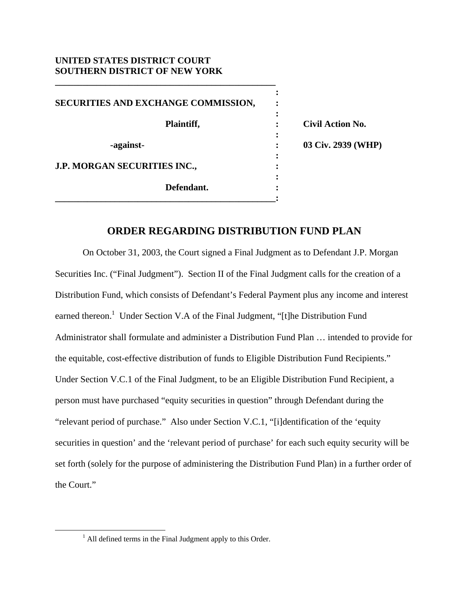## **UNITED STATES DISTRICT COURT SOUTHERN DISTRICT OF NEW YORK**

**\_\_\_\_\_\_\_\_\_\_\_\_\_\_\_\_\_\_\_\_\_\_\_\_\_\_\_\_\_\_\_\_\_\_\_\_\_\_\_\_\_\_\_\_\_\_\_\_** 

*x*  $\mathbf{r}$  :  $\mathbf{r}$   $\mathbf{r}$   $\mathbf{r}$   $\mathbf{r}$   $\mathbf{r}$   $\mathbf{r}$   $\mathbf{r}$   $\mathbf{r}$   $\mathbf{r}$   $\mathbf{r}$   $\mathbf{r}$   $\mathbf{r}$   $\mathbf{r}$   $\mathbf{r}$   $\mathbf{r}$   $\mathbf{r}$   $\mathbf{r}$   $\mathbf{r}$   $\mathbf{r}$   $\mathbf{r}$   $\mathbf{r}$   $\mathbf{r}$   $\mathbf{r}$ **SECURITIES AND EXCHANGE COMMISSION, :**  *x*  $\mathbf{r}$  :  $\mathbf{r}$   $\mathbf{r}$   $\mathbf{r}$   $\mathbf{r}$   $\mathbf{r}$   $\mathbf{r}$   $\mathbf{r}$   $\mathbf{r}$   $\mathbf{r}$   $\mathbf{r}$   $\mathbf{r}$   $\mathbf{r}$   $\mathbf{r}$   $\mathbf{r}$   $\mathbf{r}$   $\mathbf{r}$   $\mathbf{r}$   $\mathbf{r}$   $\mathbf{r}$   $\mathbf{r}$   $\mathbf{r}$   $\mathbf{r}$   $\mathbf{r}$  **Plaintiff, : Civil Action No.**  *x*  $\mathbf{r}$  :  $\mathbf{r}$   $\mathbf{r}$   $\mathbf{r}$   $\mathbf{r}$   $\mathbf{r}$   $\mathbf{r}$   $\mathbf{r}$   $\mathbf{r}$   $\mathbf{r}$   $\mathbf{r}$   $\mathbf{r}$   $\mathbf{r}$   $\mathbf{r}$   $\mathbf{r}$   $\mathbf{r}$   $\mathbf{r}$   $\mathbf{r}$   $\mathbf{r}$   $\mathbf{r}$   $\mathbf{r}$   $\mathbf{r}$   $\mathbf{r}$   $\mathbf{r}$  **-against- : 03 Civ. 2939 (WHP)**  *x*  $\mathbf{r}$  :  $\mathbf{r}$   $\mathbf{r}$   $\mathbf{r}$   $\mathbf{r}$   $\mathbf{r}$   $\mathbf{r}$   $\mathbf{r}$   $\mathbf{r}$   $\mathbf{r}$   $\mathbf{r}$   $\mathbf{r}$   $\mathbf{r}$   $\mathbf{r}$   $\mathbf{r}$   $\mathbf{r}$   $\mathbf{r}$   $\mathbf{r}$   $\mathbf{r}$   $\mathbf{r}$   $\mathbf{r}$   $\mathbf{r}$   $\mathbf{r}$   $\mathbf{r}$ **J.P. MORGAN SECURITIES INC., :**  *x*  $\mathbf{r}$  :  $\mathbf{r}$  is the set of  $\mathbf{r}$  is the set of  $\mathbf{r}$  is the set of  $\mathbf{r}$  is the set of  $\mathbf{r}$  **Defendant. : \_\_\_\_\_\_\_\_\_\_\_\_\_\_\_\_\_\_\_\_\_\_\_\_\_\_\_\_\_\_\_\_\_\_\_\_\_\_\_\_\_\_\_\_\_\_\_\_:**

## **ORDER REGARDING DISTRIBUTION FUND PLAN**

 On October 31, 2003, the Court signed a Final Judgment as to Defendant J.P. Morgan Securities Inc. ("Final Judgment"). Section II of the Final Judgment calls for the creation of a Distribution Fund, which consists of Defendant's Federal Payment plus any income and interest earned thereon.<sup>1</sup> Under Section V.A of the Final Judgment, "[t]he Distribution Fund Administrator shall formulate and administer a Distribution Fund Plan … intended to provide for the equitable, cost-effective distribution of funds to Eligible Distribution Fund Recipients." Under Section V.C.1 of the Final Judgment, to be an Eligible Distribution Fund Recipient, a person must have purchased "equity securities in question" through Defendant during the "relevant period of purchase." Also under Section V.C.1, "[i]dentification of the 'equity securities in question' and the 'relevant period of purchase' for each such equity security will be set forth (solely for the purpose of administering the Distribution Fund Plan) in a further order of the Court."

 $\frac{1}{1}$  $<sup>1</sup>$  All defined terms in the Final Judgment apply to this Order.</sup>